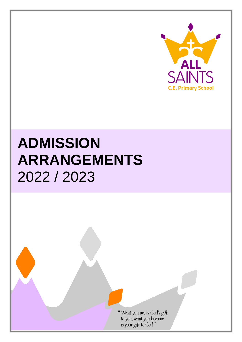

# **ADMISSION ARRANGEMENTS**  2022 / 2023

"What you are is God's gift<br>to you, what you become<br>is your gift to God"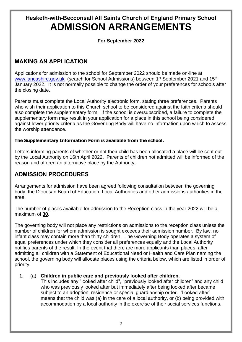## **Hesketh-with-Becconsall All Saints Church of England Primary School ADMISSION ARRANGEMENTS**

**For September 2022**

#### **MAKING AN APPLICATION**

Applications for admission to the school for September 2022 should be made on-line at [www.lancashire.gov.uk](http://www.lancashire.gov.uk/) (search for School Admissions) between 1<sup>st</sup> September 2021 and 15<sup>th</sup> January 2022. It is not normally possible to change the order of your preferences for schools after the closing date.

Parents must complete the Local Authority electronic form, stating three preferences. Parents who wish their application to this Church school to be considered against the faith criteria should also complete the supplementary form. If the school is oversubscribed, a failure to complete the supplementary form may result in your application for a place in this school being considered against lower priority criteria as the Governing Body will have no information upon which to assess the worship attendance.

#### **The Supplementary Information Form is available from the school.**

Letters informing parents of whether or not their child has been allocated a place will be sent out by the Local Authority on 16th April 2022. Parents of children not admitted will be informed of the reason and offered an alternative place by the Authority.

## **ADMISSION PROCEDURES**

Arrangements for admission have been agreed following consultation between the governing body, the Diocesan Board of Education, Local Authorities and other admissions authorities in the area.

The number of places available for admission to the Reception class in the year 2022 will be a maximum of **30**.

The governing body will not place any restrictions on admissions to the reception class unless the number of children for whom admission is sought exceeds their admission number. By law, no infant class may contain more than thirty children. The Governing Body operates a system of equal preferences under which they consider all preferences equally and the Local Authority notifies parents of the result. In the event that there are more applicants than places, after admitting all children with a Statement of Educational Need or Health and Care Plan naming the school, the governing body will allocate places using the criteria below, which are listed in order of priority.

#### 1. (a) **Children in public care and previously looked after children.**

This includes any "looked after child", "previously looked after children" and any child who was previously looked after but immediately after being looked after became subject to an adoption, residence or special guardianship order. 'Looked after' means that the child was (a) in the care of a local authority, or (b) being provided with accommodation by a local authority in the exercise of their social services functions.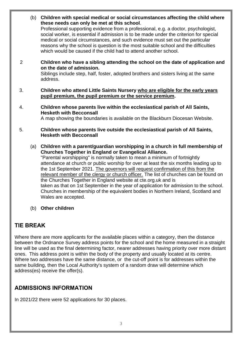|                |     | (b) Children with special medical or social circumstances affecting the child where<br>these needs can only be met at this school.<br>Professional supporting evidence from a professional, e.g. a doctor, psychologist,<br>social worker, is essential if admission is to be made under the criterion for special<br>medical or social circumstances, and such evidence must set out the particular<br>reasons why the school is question is the most suitable school and the difficulties<br>which would be caused if the child had to attend another school.                                                                                                                                                                                                         |  |  |  |
|----------------|-----|-------------------------------------------------------------------------------------------------------------------------------------------------------------------------------------------------------------------------------------------------------------------------------------------------------------------------------------------------------------------------------------------------------------------------------------------------------------------------------------------------------------------------------------------------------------------------------------------------------------------------------------------------------------------------------------------------------------------------------------------------------------------------|--|--|--|
| $\overline{2}$ |     | Children who have a sibling attending the school on the date of application and<br>on the date of admission.<br>Siblings include step, half, foster, adopted brothers and sisters living at the same<br>address.                                                                                                                                                                                                                                                                                                                                                                                                                                                                                                                                                        |  |  |  |
| 3.             |     | Children who attend Little Saints Nursery who are eligible for the early years<br>pupil premium, the pupil premium or the service premium.                                                                                                                                                                                                                                                                                                                                                                                                                                                                                                                                                                                                                              |  |  |  |
| 4.             |     | Children whose parents live within the ecclesiastical parish of All Saints,<br><b>Hesketh with Becconsall</b><br>A map showing the boundaries is available on the Blackburn Diocesan Website.                                                                                                                                                                                                                                                                                                                                                                                                                                                                                                                                                                           |  |  |  |
| 5.             |     | Children whose parents live outside the ecclesiastical parish of All Saints,<br><b>Hesketh with Becconsall</b>                                                                                                                                                                                                                                                                                                                                                                                                                                                                                                                                                                                                                                                          |  |  |  |
|                | (a) | Children with a parent/guardian worshipping in a church in full membership of<br><b>Churches Together in England or Evangelical Alliance.</b><br>"Parental worshipping" is normally taken to mean a minimum of fortnightly<br>attendance at church or public worship for over at least the six months leading up to<br>the 1st September 2021. The governors will request confirmation of this from the<br>relevant member of the clergy or church officer. The list of churches can be found on<br>the Churches Together in England website at cte.org.uk and is<br>taken as that on 1st September in the year of application for admission to the school.<br>Churches in membership of the equivalent bodies in Northern Ireland, Scotland and<br>Wales are accepted. |  |  |  |

(b) **Other children**

#### **TIE BREAK**

Where there are more applicants for the available places within a category, then the distance between the Ordnance Survey address points for the school and the home measured in a straight line will be used as the final determining factor, nearer addresses having priority over more distant ones. This address point is within the body of the property and usually located at its centre. Where two addresses have the same distance, or the cut-off point is for addresses within the same building, then the Local Authority's system of a random draw will determine which address(es) receive the offer(s).

#### **ADMISSIONS INFORMATION**

In 2021/22 there were 52 applications for 30 places.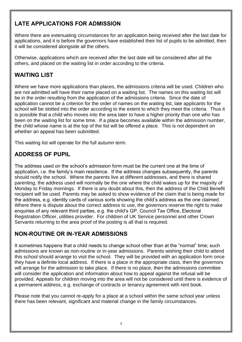## **LATE APPLICATIONS FOR ADMISSION**

Where there are extenuating circumstances for an application being received after the last date for applications, and it is before the governors have established their list of pupils to be admitted, then it will be considered alongside all the others.

Otherwise, applications which are received after the last date will be considered after all the others, and placed on the waiting list in order according to the criteria.

## **WAITING LIST**

Where we have more applications than places, the admissions criteria will be used. Children who are not admitted will have their name placed on a waiting list. The names on this waiting list will be in the order resulting from the application of the admissions criteria. Since the date of application cannot be a criterion for the order of names on the waiting list, late applicants for the school will be slotted into the order according to the extent to which they meet the criteria. Thus it is possible that a child who moves into the area later to have a higher priority than one who has been on the waiting list for some time. If a place becomes available within the admission number, the child whose name is at the top of the list will be offered a place. This is not dependent on whether an appeal has been submitted.

This waiting list will operate for the full autumn term.

## **ADDRESS OF PUPIL**

The address used on the school's admission form must be the current one at the time of application, i.e. the family's main residence. If the address changes subsequently, the parents should notify the school. Where the parents live at different addresses, and there is shared parenting, the address used will normally be the one where the child wakes up for the majority of Monday to Friday mornings. If there is any doubt about this, then the address of the Child Benefit recipient will be used. Parents may be asked to show evidence of the claim that is being made for the address, e.g. identity cards of various sorts showing the child's address as the one claimed. Where there is dispute about the correct address to use, the governors reserve the right to make enquiries of any relevant third parties, e.g. the child's GP, Council Tax Office, Electoral Registration Officer, utilities provider. For children of UK Service personnel and other Crown Servants returning to the area proof of the posting is all that is required.

#### **NON-ROUTINE OR IN-YEAR ADMISSIONS**

It sometimes happens that a child needs to change school other than at the "normal" time; such admissions are known as non-routine or in-year admissions. Parents wishing their child to attend this school should arrange to visit the school. They will be provided with an application form once they have a definite local address. If there is a place in the appropriate class, then the governors will arrange for the admission to take place. If there is no place, then the admissions committee will consider the application and information about how to appeal against the refusal will be provided. Appeals for children moving into the area will not be considered until there is evidence of a permanent address, e.g. exchange of contracts or tenancy agreement with rent book.

Please note that you cannot re-apply for a place at a school within the same school year unless there has been relevant, significant and material change in the family circumstances.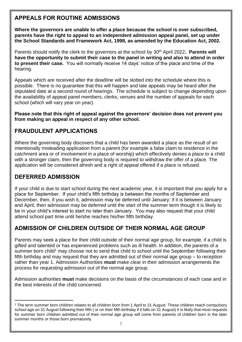## **APPEALS FOR ROUTINE ADMISSIONS**

**Where the governors are unable to offer a place because the school is over subscribed, parents have the right to appeal to an independent admission appeal panel, set up under the School Standards and Framework Act, 1998, as amended by the Education Act, 2002.** 

Parents should notify the clerk to the governors at the school by 30th April 2022**. Parents will have the opportunity to submit their case to the panel in writing and also to attend in order to present their case.** You will normally receive 14 days' notice of the place and time of the hearing.

Appeals which are received after the deadline will be slotted into the schedule where this is possible. There is no guarantee that this will happen and late appeals may be heard after the stipulated date at a second round of hearings. The schedule is subject to change depending upon the availability of appeal panel members, clerks, venues and the number of appeals for each school (which will vary year on year).

**Please note that this right of appeal against the governors' decision does not prevent you from making an appeal in respect of any other school.**

## **FRAUDULENT APPLICATIONS**

Where the governing body discovers that a child has been awarded a place as the result of an intentionally misleading application from a parent (for example a false claim to residence in the catchment area or of involvement in a place of worship) which effectively denies a place to a child with a stronger claim, then the governing body is required to withdraw the offer of a place. The application will be considered afresh and a right of appeal offered if a place is refused.

#### **DEFERRED ADMISSION**

If your child is due to start school during the next academic year, it is important that you apply for a place for September. If your child's fifth birthday is between the months of September and December, then, if you wish it, admission may be deferred until January; if it is between January and April, then admission may be deferred until the start of the summer term though it is likely to be in your child's interest to start no later than January. You may also request that your child attend school part time until he/she reaches his/her fifth birthday.

## **ADMISSION OF CHILDREN OUTSIDE OF THEIR NORMAL AGE GROUP**

Parents may seek a place for their child outside of their normal age group, for example, if a child is gifted and talented or has experienced problems such as ill health. In addition, the parents of a summer born child<sup>1</sup> may choose not to send that child to school until the September following their fifth birthday and may request that they are admitted out of their normal age group – to reception rather than year 1. Admission Authorities **must** make clear in their admission arrangements the process for requesting admission out of the normal age group.

Admission authorities **must** make decisions on the basis of the circumstances of each case and in the best interests of the child concerned.

<sup>&</sup>lt;sup>1</sup> The term summer born children relates to all children born from 1 April to 31 August. These children reach compulsory school age on 31 August following their fifth ( or on their fifth birthday if it falls on 31 August) It is likely that most requests for summer born children admitted out of their normal age group will come from parents of children born in the later summer months or those born prematurely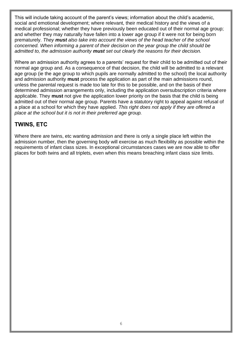This will include taking account of the parent's views; information about the child's academic, social and emotional development; where relevant, their medical history and the views of a medical professional; whether they have previously been educated out of their normal age group; and whether they may naturally have fallen into a lower age group if it were not for being born prematurely. *They must also take into account the views of the head teacher of the school concerned. When informing a parent of their decision on the year group the child should be admitted to, the admission authority must set out clearly the reasons for their decision.*

Where an admission authority agrees to a parents' request for their child to be admitted out of their normal age group and. As a consequence of that decision, the child will be admitted to a relevant age group (ie the age group to which pupils are normally admitted to the school) the local authority and admission authority **must** process the application as part of the main admissions round, unless the parental request is made too late for this to be possible, and on the basis of their determined admission arrangements only, including the application oversubscription criteria where applicable. They **must** not give the application lower priority on the basis that the child is being admitted out of their normal age group. Parents have a statutory right to appeal against refusal of a place at a school for which they have applied. *This right does not apply if they are offered a place at the school but it is not in their preferred age group.*

## **TWINS, ETC**

Where there are twins, etc wanting admission and there is only a single place left within the admission number, then the governing body will exercise as much flexibility as possible within the requirements of infant class sizes. In exceptional circumstances cases we are now able to offer places for both twins and all triplets, even when this means breaching infant class size limits.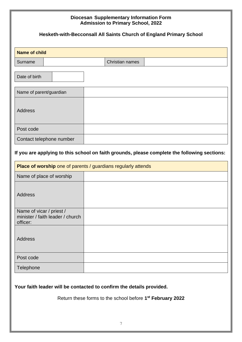#### **Diocesan Supplementary Information Form Admission to Primary School, 2022**

#### **Hesketh-with-Becconsall All Saints Church of England Primary School**

| <b>Name of child</b>     |                 |  |  |  |  |  |  |  |
|--------------------------|-----------------|--|--|--|--|--|--|--|
| Surname                  | Christian names |  |  |  |  |  |  |  |
| Date of birth            |                 |  |  |  |  |  |  |  |
| Name of parent/guardian  |                 |  |  |  |  |  |  |  |
| <b>Address</b>           |                 |  |  |  |  |  |  |  |
| Post code                |                 |  |  |  |  |  |  |  |
| Contact telephone number |                 |  |  |  |  |  |  |  |

#### **If you are applying to this school on faith grounds, please complete the following sections:**

| <b>Place of worship</b> one of parents / guardians regularly attends     |  |  |  |  |  |  |
|--------------------------------------------------------------------------|--|--|--|--|--|--|
| Name of place of worship                                                 |  |  |  |  |  |  |
| <b>Address</b>                                                           |  |  |  |  |  |  |
| Name of vicar / priest /<br>minister / faith leader / church<br>officer: |  |  |  |  |  |  |
| <b>Address</b>                                                           |  |  |  |  |  |  |
| Post code                                                                |  |  |  |  |  |  |
| Telephone                                                                |  |  |  |  |  |  |

#### **Your faith leader will be contacted to confirm the details provided.**

Return these forms to the school before **1 st February 2022**